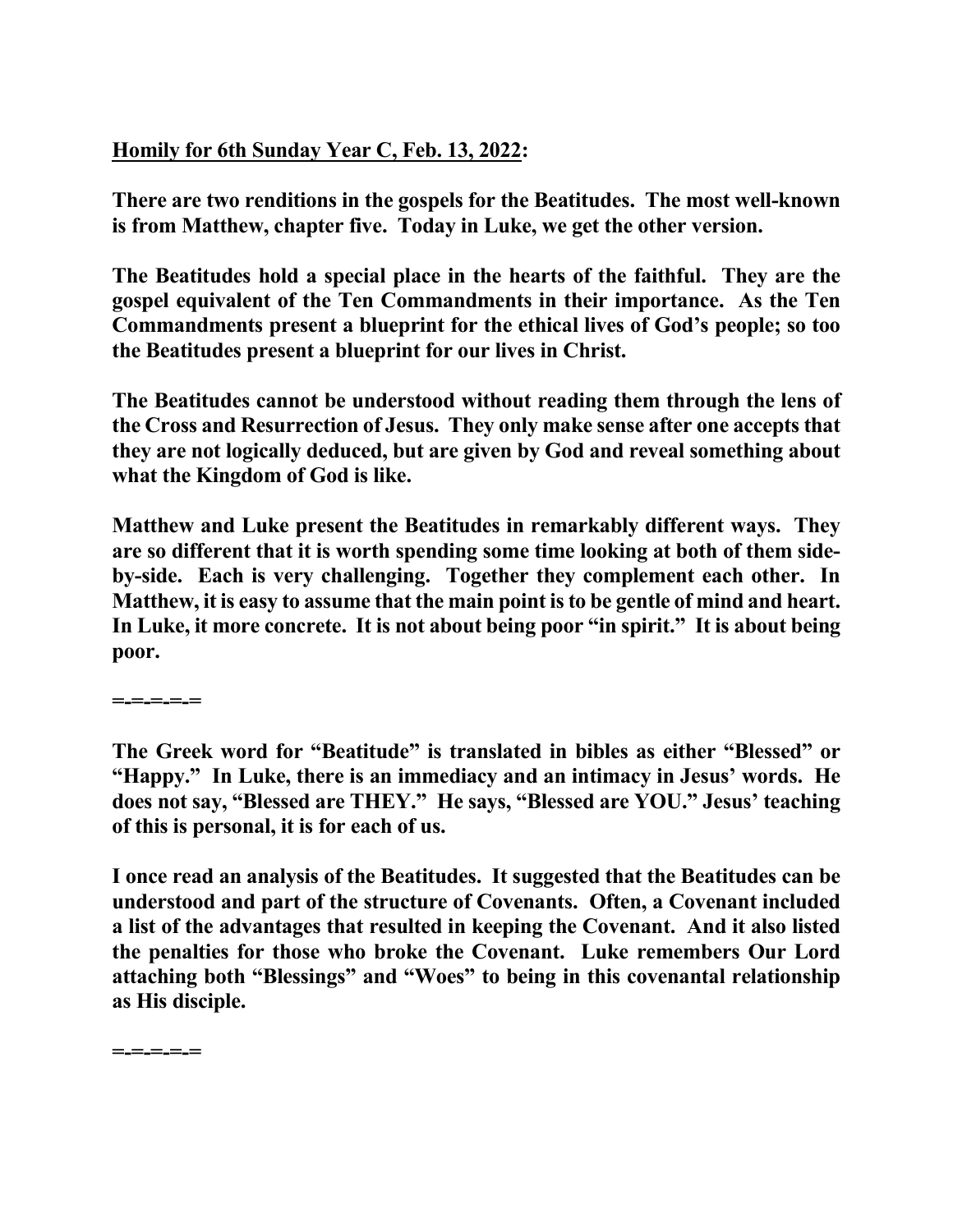## **Homily for 6th Sunday Year C, Feb. 13, 2022:**

**There are two renditions in the gospels for the Beatitudes. The most well-known is from Matthew, chapter five. Today in Luke, we get the other version.** 

**The Beatitudes hold a special place in the hearts of the faithful. They are the gospel equivalent of the Ten Commandments in their importance. As the Ten Commandments present a blueprint for the ethical lives of God's people; so too the Beatitudes present a blueprint for our lives in Christ.** 

**The Beatitudes cannot be understood without reading them through the lens of the Cross and Resurrection of Jesus. They only make sense after one accepts that they are not logically deduced, but are given by God and reveal something about what the Kingdom of God is like.** 

**Matthew and Luke present the Beatitudes in remarkably different ways. They are so different that it is worth spending some time looking at both of them sideby-side. Each is very challenging. Together they complement each other. In Matthew, it is easy to assume that the main point is to be gentle of mind and heart. In Luke, it more concrete. It is not about being poor "in spirit." It is about being poor.** 

**=-=-=-=-=** 

**The Greek word for "Beatitude" is translated in bibles as either "Blessed" or "Happy." In Luke, there is an immediacy and an intimacy in Jesus' words. He does not say, "Blessed are THEY." He says, "Blessed are YOU." Jesus' teaching of this is personal, it is for each of us.** 

**I once read an analysis of the Beatitudes. It suggested that the Beatitudes can be understood and part of the structure of Covenants. Often, a Covenant included a list of the advantages that resulted in keeping the Covenant. And it also listed the penalties for those who broke the Covenant. Luke remembers Our Lord attaching both "Blessings" and "Woes" to being in this covenantal relationship as His disciple.** 

**=-=-=-=-=**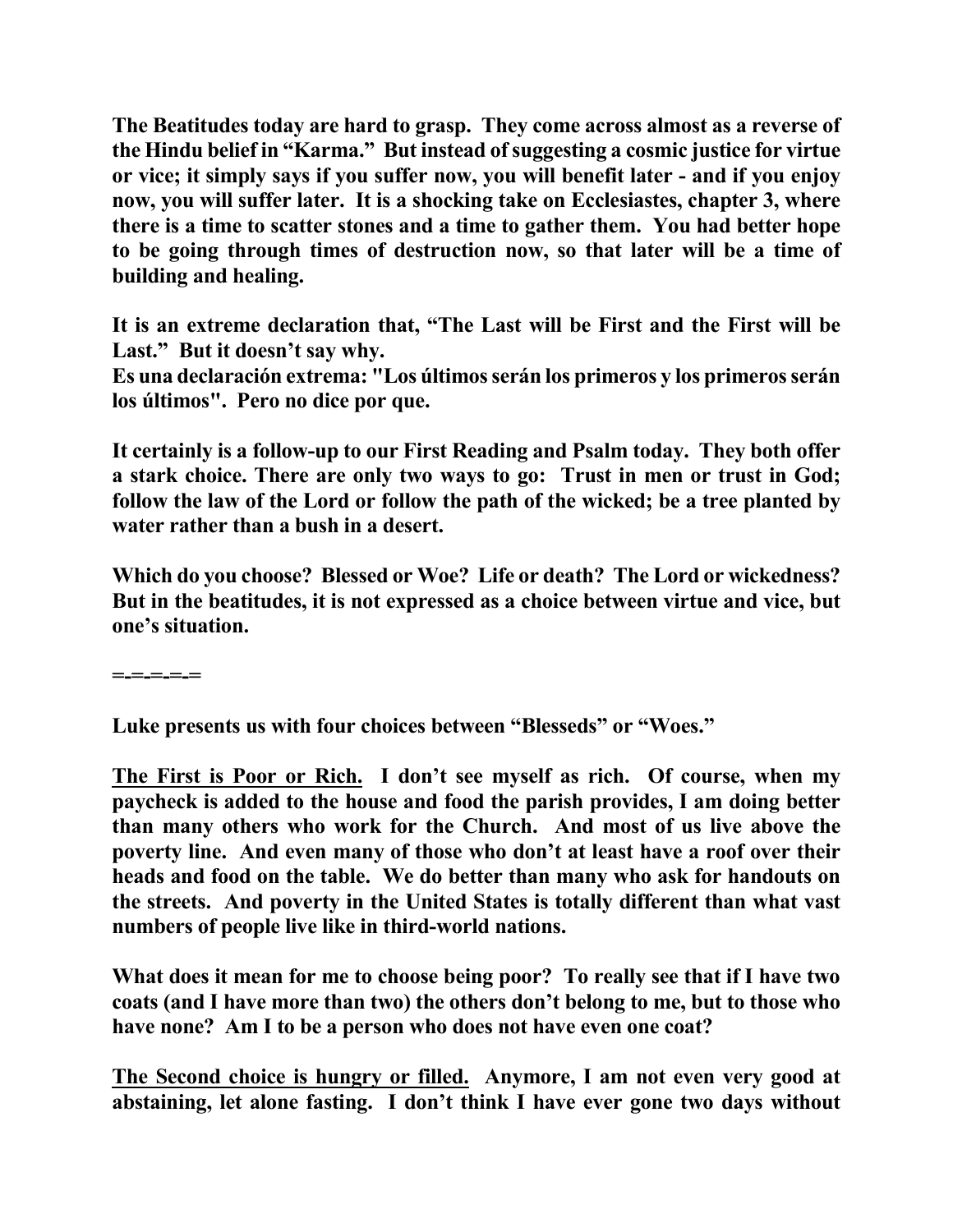**The Beatitudes today are hard to grasp. They come across almost as a reverse of the Hindu belief in "Karma." But instead of suggesting a cosmic justice for virtue or vice; it simply says if you suffer now, you will benefit later - and if you enjoy now, you will suffer later. It is a shocking take on Ecclesiastes, chapter 3, where there is a time to scatter stones and a time to gather them. You had better hope to be going through times of destruction now, so that later will be a time of building and healing.** 

**It is an extreme declaration that, "The Last will be First and the First will be Last." But it doesn't say why.** 

**Es una declaración extrema: "Los últimos serán los primeros y los primeros serán los últimos". Pero no dice por que.** 

**It certainly is a follow-up to our First Reading and Psalm today. They both offer a stark choice. There are only two ways to go: Trust in men or trust in God; follow the law of the Lord or follow the path of the wicked; be a tree planted by water rather than a bush in a desert.** 

**Which do you choose? Blessed or Woe? Life or death? The Lord or wickedness? But in the beatitudes, it is not expressed as a choice between virtue and vice, but one's situation.** 

**=-=-=-=-=** 

**Luke presents us with four choices between "Blesseds" or "Woes."** 

**The First is Poor or Rich. I don't see myself as rich. Of course, when my paycheck is added to the house and food the parish provides, I am doing better than many others who work for the Church. And most of us live above the poverty line. And even many of those who don't at least have a roof over their heads and food on the table. We do better than many who ask for handouts on the streets. And poverty in the United States is totally different than what vast numbers of people live like in third-world nations.** 

**What does it mean for me to choose being poor? To really see that if I have two coats (and I have more than two) the others don't belong to me, but to those who have none? Am I to be a person who does not have even one coat?** 

**The Second choice is hungry or filled. Anymore, I am not even very good at abstaining, let alone fasting. I don't think I have ever gone two days without**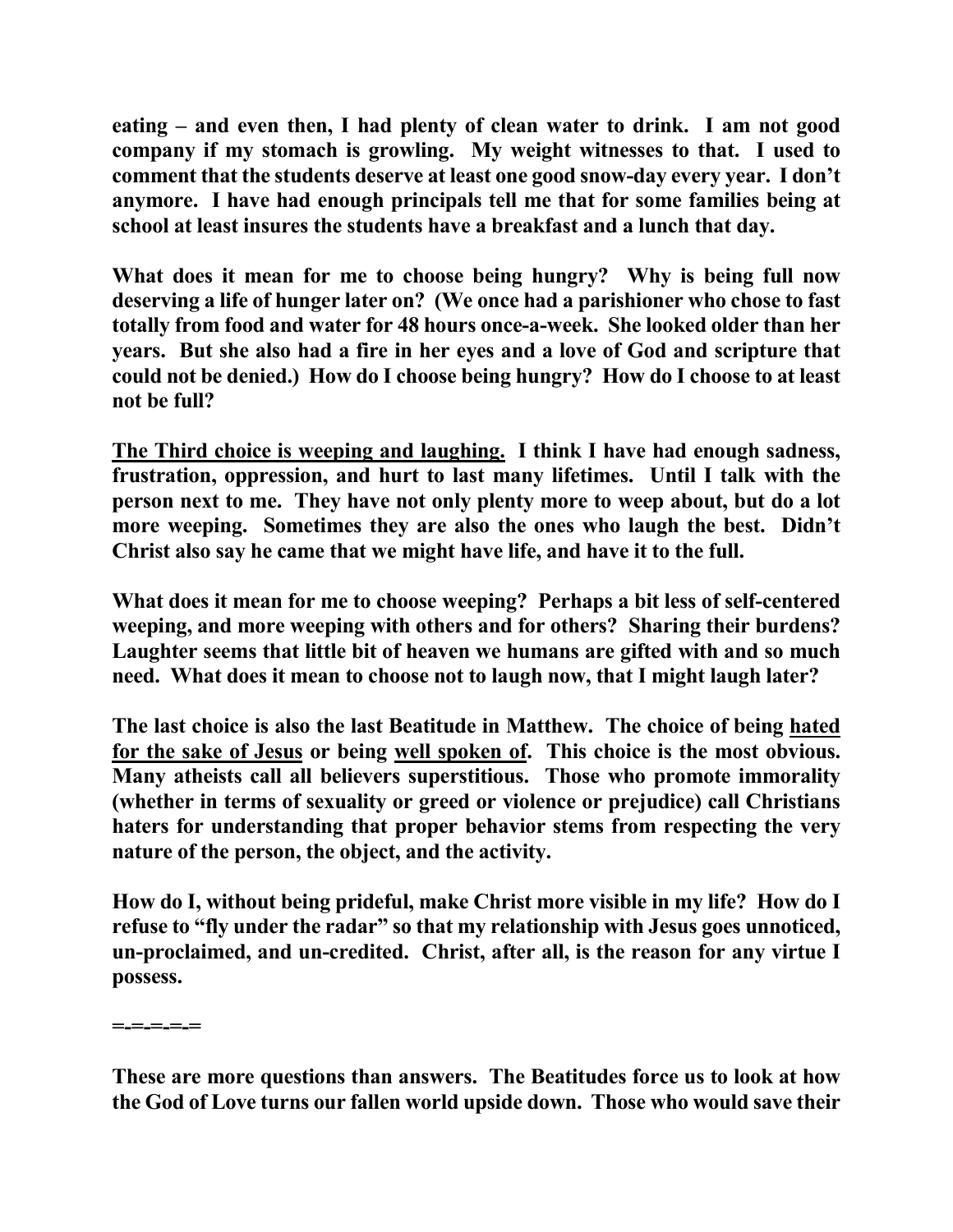**eating – and even then, I had plenty of clean water to drink. I am not good company if my stomach is growling. My weight witnesses to that. I used to comment that the students deserve at least one good snow-day every year. I don't anymore. I have had enough principals tell me that for some families being at school at least insures the students have a breakfast and a lunch that day.** 

**What does it mean for me to choose being hungry? Why is being full now deserving a life of hunger later on? (We once had a parishioner who chose to fast totally from food and water for 48 hours once-a-week. She looked older than her years. But she also had a fire in her eyes and a love of God and scripture that could not be denied.) How do I choose being hungry? How do I choose to at least not be full?** 

**The Third choice is weeping and laughing. I think I have had enough sadness, frustration, oppression, and hurt to last many lifetimes. Until I talk with the person next to me. They have not only plenty more to weep about, but do a lot more weeping. Sometimes they are also the ones who laugh the best. Didn't Christ also say he came that we might have life, and have it to the full.** 

**What does it mean for me to choose weeping? Perhaps a bit less of self-centered weeping, and more weeping with others and for others? Sharing their burdens? Laughter seems that little bit of heaven we humans are gifted with and so much need. What does it mean to choose not to laugh now, that I might laugh later?** 

**The last choice is also the last Beatitude in Matthew. The choice of being hated for the sake of Jesus or being well spoken of. This choice is the most obvious. Many atheists call all believers superstitious. Those who promote immorality (whether in terms of sexuality or greed or violence or prejudice) call Christians haters for understanding that proper behavior stems from respecting the very nature of the person, the object, and the activity.** 

**How do I, without being prideful, make Christ more visible in my life? How do I refuse to "fly under the radar" so that my relationship with Jesus goes unnoticed, un-proclaimed, and un-credited. Christ, after all, is the reason for any virtue I possess.** 

**=-=-=-=-=** 

**These are more questions than answers. The Beatitudes force us to look at how the God of Love turns our fallen world upside down. Those who would save their**